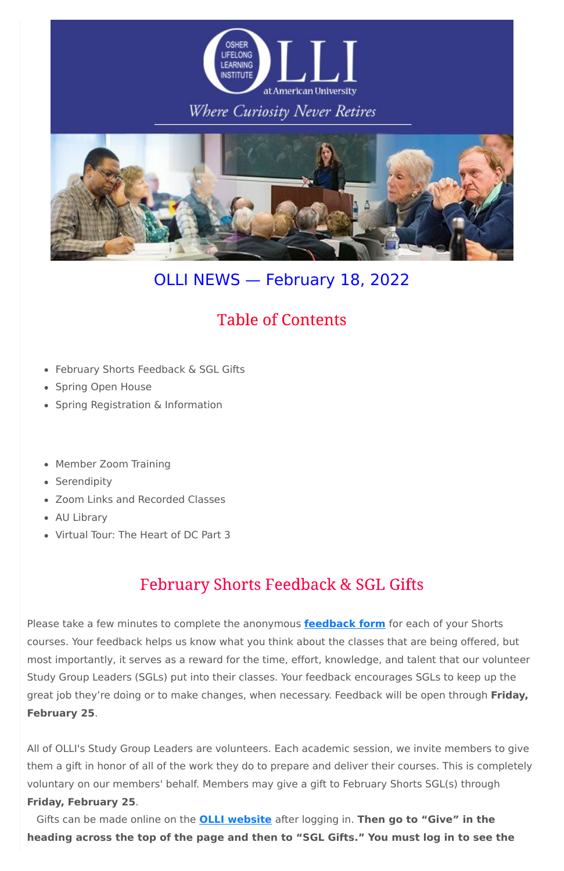

## Where Curiosity Never Retires



# OLLI NEWS — February 18, 2022

# **Table of Contents**

- February Shorts Feedback & SGL Gifts
- Spring Open House
- Spring Registration & Information
- Member Zoom Training
- Serendipity
- Zoom Links and Recorded Classes
- AU Library
- Virtual Tour: The Heart of DC Part 3

# **February Shorts Feedback & SGL Gifts**

Please take a few minutes to complete the anonymous **[feedback](https://olli-dc.org/shorts_feedback) form** for each of your Shorts

courses. Your feedback helps us know what you think about the classes that are being offered, but most importantly, it serves as a reward for the time, effort, knowledge, and talent that our volunteer Study Group Leaders (SGLs) put into their classes. Your feedback encourages SGLs to keep up the great job they're doing or to make changes, when necessary. Feedback will be open through **Friday, February 25**.

All of OLLI's Study Group Leaders are volunteers. Each academic session, we invite members to give them a gift in honor of all of the work they do to prepare and deliver their courses. This is completely voluntary on our members' behalf. Members may give a gift to February Shorts SGL(s) through **Friday, February 25**.

Gifts can be made online on the **OLLI [website](https://olli-dc.org/MyAccount/Logon)** after logging in. **Then go to "Give" in the heading across the top of the page and then to "SGL Gifts." You must log in to see the**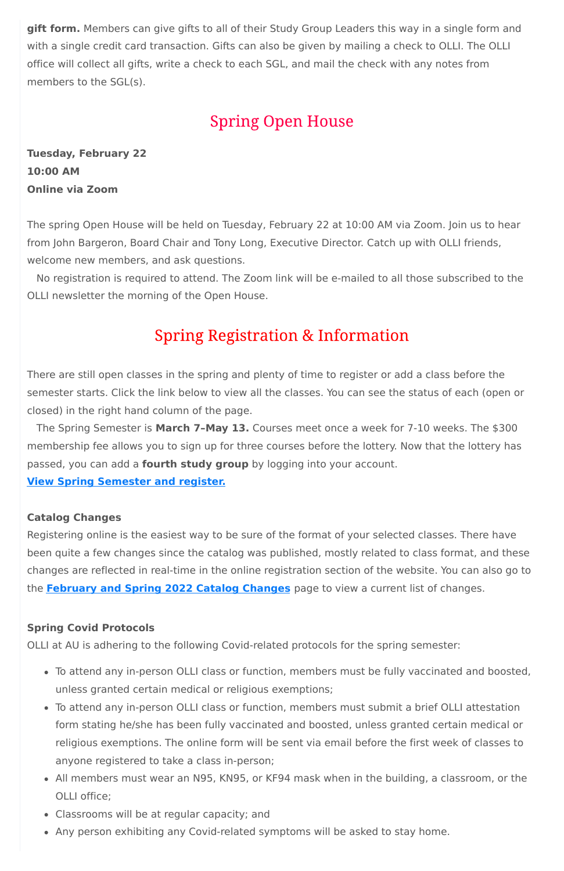**gift form.** Members can give gifts to all of their Study Group Leaders this way in a single form and with a single credit card transaction. Gifts can also be given by mailing a check to OLLI. The OLLI office will collect all gifts, write a check to each SGL, and mail the check with any notes from members to the SGL(s).

## **Spring Open House**

**Tuesday, February 22 10:00 AM Online via Zoom**

The spring Open House will be held on Tuesday, February 22 at 10:00 AM via Zoom. Join us to hear from John Bargeron, Board Chair and Tony Long, Executive Director. Catch up with OLLI friends, welcome new members, and ask questions.

No registration is required to attend. The Zoom link will be e-mailed to all those subscribed to the OLLI newsletter the morning of the Open House.

## **Spring Registration & Information**

There are still open classes in the spring and plenty of time to register or add a class before the semester starts. Click the link below to view all the classes. You can see the status of each (open or closed) in the right hand column of the page.

The Spring Semester is **March 7–May 13.** Courses meet once a week for 7-10 weeks. The \$300 membership fee allows you to sign up for three courses before the lottery. Now that the lottery has passed, you can add a **fourth study group** by logging into your account.

**View Spring [Semester](https://www.olli-dc.org/view_all_study_groups) and register.**

### **Catalog Changes**

Registering online is the easiest way to be sure of the format of your selected classes. There have been quite a few changes since the catalog was published, mostly related to class format, and these changes are reflected in real-time in the online registration section of the website. You can also go to the **[February](https://www.olli-dc.org/feb_spring_catalog_changes) and Spring 2022 Catalog Changes** page to view a current list of changes.

**Spring Covid Protocols**

OLLI at AU is adhering to the following Covid-related protocols for the spring semester:

- To attend any in-person OLLI class or function, members must be fully vaccinated and boosted, unless granted certain medical or religious exemptions;
- To attend any in-person OLLI class or function, members must submit a brief OLLI attestation form stating he/she has been fully vaccinated and boosted, unless granted certain medical or religious exemptions. The online form will be sent via email before the first week of classes to anyone registered to take a class in-person;
- All members must wear an N95, KN95, or KF94 mask when in the building, a classroom, or the OLLI office;
- Classrooms will be at regular capacity; and
- Any person exhibiting any Covid-related symptoms will be asked to stay home.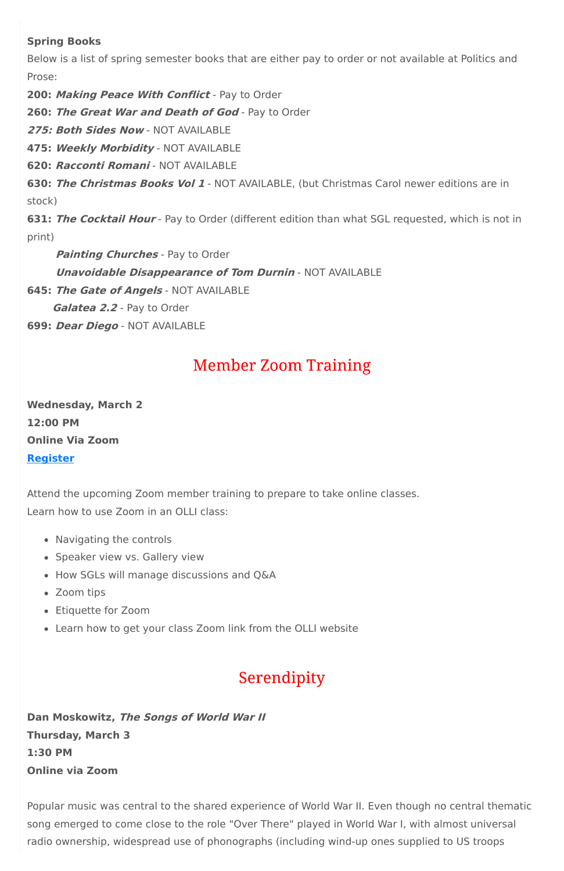### **Spring Books**

Below is a list of spring semester books that are either pay to order or not available at Politics and Prose:

**200: Making Peace With Conflict** - Pay to Order

**260: The Great War and Death of God** - Pay to Order

**275: Both Sides Now** - NOT AVAILABLE

**475: Weekly Morbidity** - NOT AVAILABLE

**620: Racconti Romani** - NOT AVAILABLE

**630: The Christmas Books Vol 1** - NOT AVAILABLE, (but Christmas Carol newer editions are in stock)

**631: The Cocktail Hour** - Pay to Order (different edition than what SGL requested, which is not in print)

- Navigating the controls
- Speaker view vs. Gallery view
- How SGLs will manage discussions and Q&A
- Zoom tips
- Etiquette for Zoom
- Learn how to get your class Zoom link from the OLLI website

## Serendipity

**Painting Churches** - Pay to Order

**Unavoidable Disappearance of Tom Durnin** - NOT AVAILABLE

**645: The Gate of Angels** - NOT AVAILABLE

**Galatea 2.2** - Pay to Order

**699: Dear Diego** - NOT AVAILABLE

# **Member Zoom Training**

**Wednesday, March 2 12:00 PM Online Via Zoom [Register](https://olli-dc.org/events/OllimembertrainingMar2)**

Attend the upcoming Zoom member training to prepare to take online classes. Learn how to use Zoom in an OLLI class:

**Dan Moskowitz, The Songs of World War II Thursday, March 3 1:30 PM Online via Zoom**

Popular music was central to the shared experience of World War II. Even though no central thematic song emerged to come close to the role "Over There" played in World War I, with almost universal radio ownership, widespread use of phonographs (including wind-up ones supplied to US troops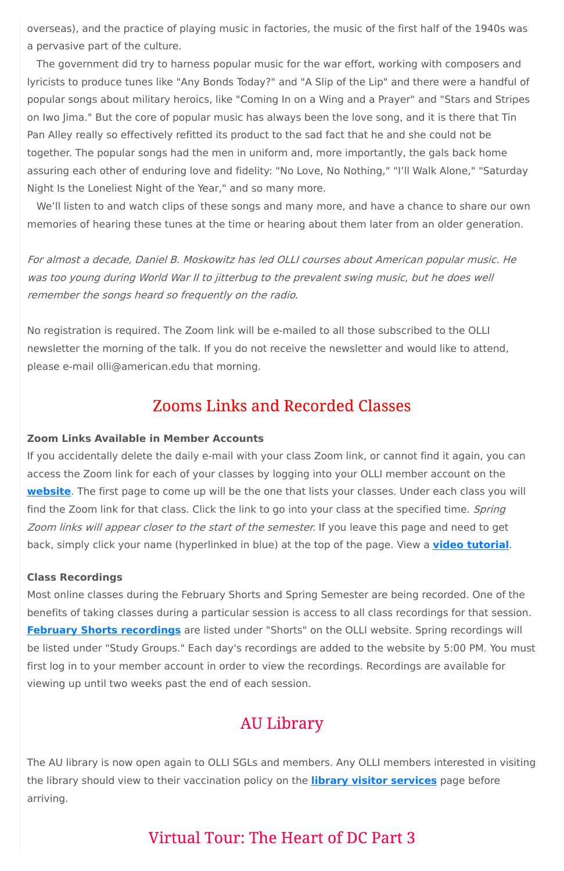overseas), and the practice of playing music in factories, the music of the first half of the 1940s was a pervasive part of the culture.

The government did try to harness popular music for the war effort, working with composers and lyricists to produce tunes like "Any Bonds Today?" and "A Slip of the Lip" and there were a handful of popular songs about military heroics, like "Coming In on a Wing and a Prayer" and "Stars and Stripes on Iwo Jima." But the core of popular music has always been the love song, and it is there that Tin Pan Alley really so effectively refitted its product to the sad fact that he and she could not be together. The popular songs had the men in uniform and, more importantly, the gals back home assuring each other of enduring love and fidelity: "No Love, No Nothing," "I'll Walk Alone," "Saturday Night Is the Loneliest Night of the Year," and so many more.

We'll listen to and watch clips of these songs and many more, and have a chance to share our own memories of hearing these tunes at the time or hearing about them later from an older generation.

For almost <sup>a</sup> decade, Daniel B. Moskowitz has led OLLI courses about American popular music. He was too young during World War II to jitterbug to the prevalent swing music, but he does well remember the songs heard so frequently on the radio.

No registration is required. The Zoom link will be e-mailed to all those subscribed to the OLLI newsletter the morning of the talk. If you do not receive the newsletter and would like to attend, please e-mail olli@american.edu that morning.

## **Zooms Links and Recorded Classes**

### **Zoom Links Available in Member Accounts**

If you accidentally delete the daily e-mail with your class Zoom link, or cannot find it again, you can access the Zoom link for each of your classes by logging into your OLLI member account on the **[website](https://www.olli-dc.org/)**. The first page to come up will be the one that lists your classes. Under each class you will find the Zoom link for that class. Click the link to go into your class at the specified time. Spring Zoom links will appear closer to the start of the semester. If you leave this page and need to get back, simply click your name (hyperlinked in blue) at the top of the page. View a **video [tutorial](https://vimeo.com/666099470)**.

#### **Class Recordings**

Most online classes during the February Shorts and Spring Semester are being recorded. One of the benefits of taking classes during a particular session is access to all class recordings for that session. **February Shorts [recordings](https://www.olli-dc.org/2022_february_shorts_recordings)** are listed under "Shorts" on the OLLI website. Spring recordings will

be listed under "Study Groups." Each day's recordings are added to the website by 5:00 PM. You must first log in to your member account in order to view the recordings. Recordings are available for viewing up until two weeks past the end of each session.

# **AU Library**

The AU library is now open again to OLLI SGLs and members. Any OLLI members interested in visiting the library should view to their vaccination policy on the **library visitor [services](https://www.american.edu/library/services/visitors.cfm)** page before arriving.

## **Virtual Tour: The Heart of DC Part 3**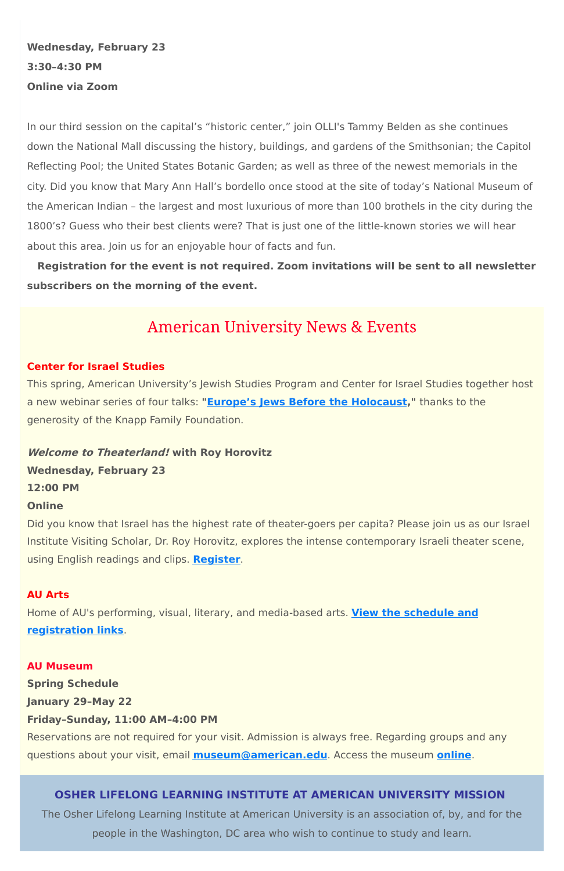**Wednesday, February 23 3:30–4:30 PM Online via Zoom**

In our third session on the capital's "historic center," join OLLI's Tammy Belden as she continues down the National Mall discussing the history, buildings, and gardens of the Smithsonian; the Capitol Reflecting Pool; the United States Botanic Garden; as well as three of the newest memorials in the city. Did you know that Mary Ann Hall's bordello once stood at the site of today's National Museum of the American Indian – the largest and most luxurious of more than 100 brothels in the city during the 1800's? Guess who their best clients were? That is just one of the little-known stories we will hear about this area. Join us for an enjoyable hour of facts and fun.

**Registration for the event is not required. Zoom invitations will be sent to all newsletter subscribers on the morning of the event.**

## **American University News & Events**

#### **Center for Israel Studies**

This spring, American University's Jewish Studies Program and Center for Israel Studies together host a new webinar series of four talks: **"Europe's Jews Before the [Holocaust,](https://www.american.edu/cas/israelstudies/europes-jews-before-the-holocaust.cfm)"** thanks to the generosity of the Knapp Family Foundation.

**Welcome to Theaterland! with Roy Horovitz Wednesday, February 23 12:00 PM Online**

Did you know that Israel has the highest rate of theater-goers per capita? Please join us as our Israel Institute Visiting Scholar, Dr. Roy Horovitz, explores the intense contemporary Israeli theater scene, using English readings and clips. **[Register](https://www.eventbrite.com/e/welcome-to-theaterland-with-israeli-actordirector-roy-horovitz-tickets-262292061617)**.

#### **AU Arts**

Home of AU's performing, visual, literary, and media-based arts. **View the schedule and [registration](https://www.american.edu/arts/) links**.

#### **AU Museum**

**Spring Schedule**

**January 29–May 22**

**Friday–Sunday, 11:00 AM–4:00 PM**

Reservations are not required for your visit. Admission is always free. Regarding groups and any questions about your visit, email **[museum@american.edu](mailto:museum@american.edu)**. Access the museum **[online](https://www.american.edu/cas/museum/reopening.cfm)**.

### **OSHER LIFELONG LEARNING INSTITUTE AT AMERICAN UNIVERSITY MISSION**

The Osher Lifelong Learning Institute at American University is an association of, by, and for the people in the Washington, DC area who wish to continue to study and learn.